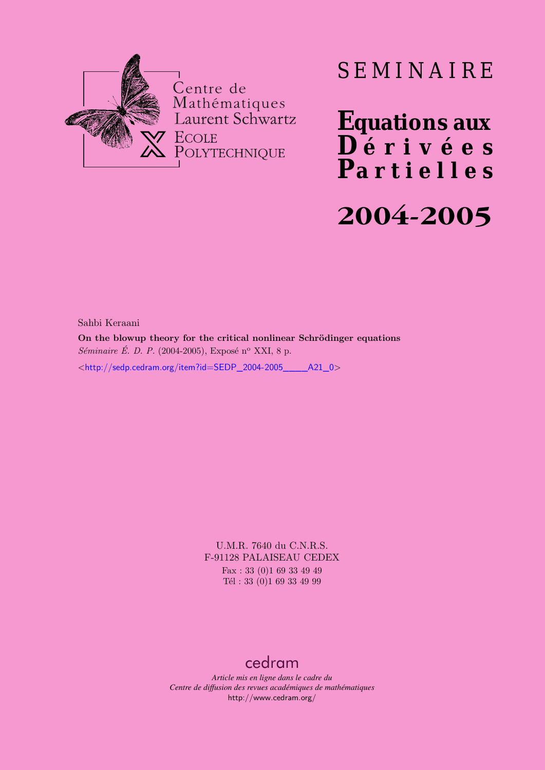

# SEMINAIRE

**Equations aux**  $\overline{\mathbf{D}}$  érivées **Partielles 2004-2005**

Sahbi Keraani

**On the blowup theory for the critical nonlinear Schrödinger equations** *Séminaire É. D. P.* (2004-2005), Exposé n<sup>o</sup> XXI, 8 p.  $\lt$ http://sedp.cedram.org/item?id=SEDP\_2004-2005 A21\_0>

> U.M.R. 7640 du C.N.R.S. F-91128 PALAISEAU CEDEX Fax : 33 (0)1 69 33 49 49 Tél : 33 (0)1 69 33 49 99

## [cedram](http://www.cedram.org/)

*Article mis en ligne dans le cadre du Centre de diffusion des revues académiques de mathématiques* <http://www.cedram.org/>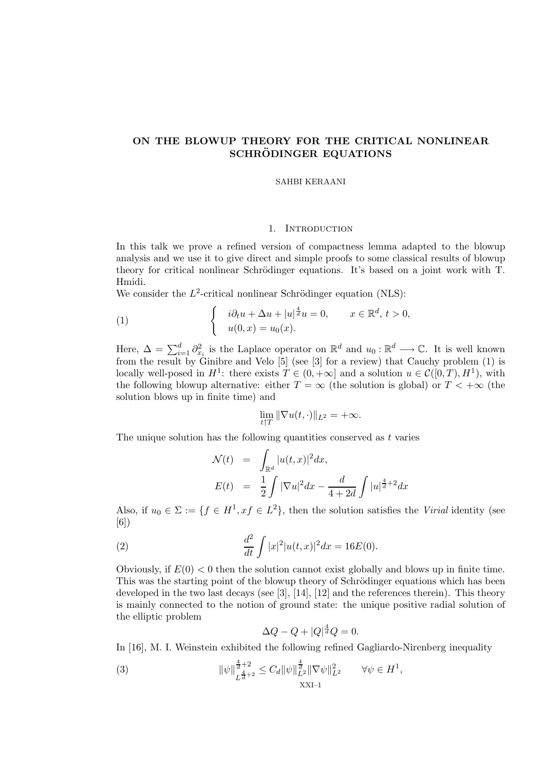### ON THE BLOWUP THEORY FOR THE CRITICAL NONLINEAR SCHRÖDINGER EQUATIONS

#### SAHBI KERAANI

#### 1. INTRODUCTION

In this talk we prove a refined version of compactness lemma adapted to the blowup analysis and we use it to give direct and simple proofs to some classical results of blowup theory for critical nonlinear Schrödinger equations. It's based on a joint work with T. Hmidi.

We consider the  $L^2$ -critical nonlinear Schrödinger equation (NLS):

(1) 
$$
\begin{cases} i\partial_t u + \Delta u + |u|^{\frac{4}{d}} u = 0, & x \in \mathbb{R}^d, t > 0, \\ u(0, x) = u_0(x). \end{cases}
$$

Here,  $\Delta = \sum_{i=1}^d \partial_{x_i}^2$  is the Laplace operator on  $\mathbb{R}^d$  and  $u_0 : \mathbb{R}^d \longrightarrow \mathbb{C}$ . It is well known from the result by Ginibre and Velo [5] (see [3] for a review) that Cauchy problem (1) is locally well-posed in  $H^1$ : there exists  $T \in (0, +\infty]$  and a solution  $u \in \mathcal{C}([0, T), H^1)$ , with the following blowup alternative: either  $T = \infty$  (the solution is global) or  $T < +\infty$  (the solution blows up in finite time) and

$$
\lim_{t\uparrow T} \|\nabla u(t,\cdot)\|_{L^2} = +\infty.
$$

The unique solution has the following quantities conserved as  $t$  varies

$$
\mathcal{N}(t) = \int_{\mathbb{R}^d} |u(t,x)|^2 dx,
$$
  
\n
$$
E(t) = \frac{1}{2} \int |\nabla u|^2 dx - \frac{d}{4+2d} \int |u|^{\frac{4}{d}+2} dx
$$

Also, if  $u_0 \in \Sigma := \{f \in H^1, xf \in L^2\}$ , then the solution satisfies the Virial identity (see [6])

(2) 
$$
\frac{d^2}{dt} \int |x|^2 |u(t,x)|^2 dx = 16E(0).
$$

Obviously, if  $E(0) < 0$  then the solution cannot exist globally and blows up in finite time. This was the starting point of the blowup theory of Schrödinger equations which has been developed in the two last decays (see [3], [14], [12] and the references therein). This theory is mainly connected to the notion of ground state: the unique positive radial solution of the elliptic problem

$$
\Delta Q - Q + |Q|^{\frac{4}{d}} Q = 0.
$$

In [16], M. I. Weinstein exhibited the following refined Gagliardo-Nirenberg inequality

(3) 
$$
\|\psi\|_{L^{\frac{4}{d}+2}}^{\frac{4}{d}+2} \leq C_d \|\psi\|_{L^2}^{\frac{4}{d}} \|\nabla \psi\|_{L^2}^2 \qquad \forall \psi \in H^1,
$$
  
XXI-1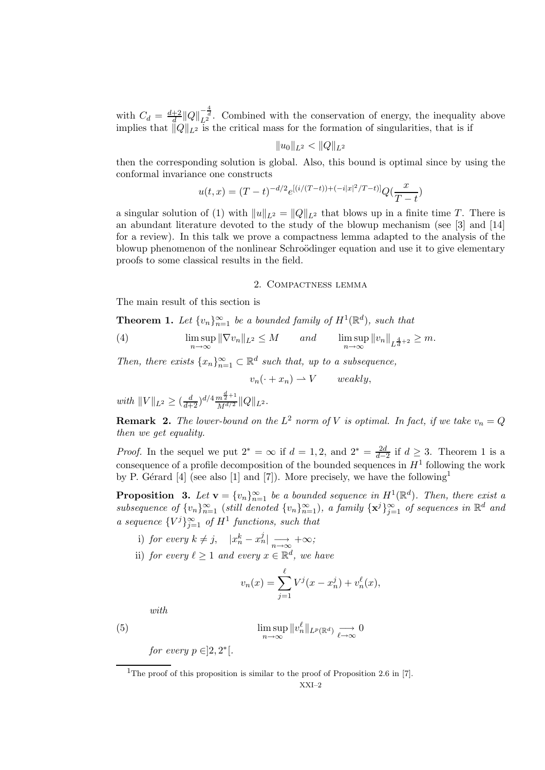with  $C_d = \frac{d+2}{d}$  $\frac{+2}{d} ||Q||_{L^2}^{-\frac{4}{d}}$ . Combined with the conservation of energy, the inequality above implies that  $||Q||_{L^2}$  is the critical mass for the formation of singularities, that is if

$$
||u_0||_{L^2} < ||Q||_{L^2}
$$

then the corresponding solution is global. Also, this bound is optimal since by using the conformal invariance one constructs

$$
u(t,x) = (T-t)^{-d/2} e^{[(i/(T-t)) + (-i|x|^2/T - t)]} Q(\frac{x}{T-t})
$$

a singular solution of (1) with  $||u||_{L^2} = ||Q||_{L^2}$  that blows up in a finite time T. There is an abundant literature devoted to the study of the blowup mechanism (see [3] and [14] for a review). In this talk we prove a compactness lemma adapted to the analysis of the blowup phenomenon of the nonlinear Schroödinger equation and use it to give elementary proofs to some classical results in the field.

#### 2. Compactness lemma

The main result of this section is

**Theorem 1.** Let  $\{v_n\}_{n=1}^{\infty}$  be a bounded family of  $H^1(\mathbb{R}^d)$ , such that

(4) 
$$
\limsup_{n \to \infty} \|\nabla v_n\|_{L^2} \le M \quad and \quad \limsup_{n \to \infty} \|v_n\|_{L^{\frac{4}{d}+2}} \ge m.
$$

Then, there exists  $\{x_n\}_{n=1}^{\infty} \subset \mathbb{R}^d$  such that, up to a subsequence,

$$
v_n(\cdot + x_n) \rightharpoonup V \qquad weakly,
$$

with  $||V||_{L^2} \geq (\frac{d}{d+2})^{d/4} \frac{m^{\frac{d}{2}+1}}{M^{d/2}} ||Q||_{L^2}$ .

**Remark 2.** The lower-bound on the  $L^2$  norm of V is optimal. In fact, if we take  $v_n = Q$ then we get equality.

*Proof.* In the sequel we put  $2^* = \infty$  if  $d = 1, 2$ , and  $2^* = \frac{2d}{d-1}$  $\frac{2d}{d-2}$  if  $d \geq 3$ . Theorem 1 is a consequence of a profile decomposition of the bounded sequences in  $H^1$  following the work by P. Gérard [4] (see also [1] and [7]). More precisely, we have the following<sup>1</sup>

**Proposition** 3. Let  $\mathbf{v} = \{v_n\}_{n=1}^{\infty}$  be a bounded sequence in  $H^1(\mathbb{R}^d)$ . Then, there exist a subsequence of  $\{v_n\}_{n=1}^{\infty}$  (still denoted  $\{v_n\}_{n=1}^{\infty}$ ), a family  $\{\mathbf{x}^j\}_{j=1}^{\infty}$  of sequences in  $\mathbb{R}^d$  and a sequence  ${V^j}_{j=1}^{\infty}$  of  $H^1$  functions, such that

- i) for every  $k \neq j$ ,  $|x_n^k x_n^j| \longrightarrow_{n \to \infty} +\infty$ ;
- ii) for every  $\ell \geq 1$  and every  $x \in \mathbb{R}^d$ , we have

$$
v_n(x) = \sum_{j=1}^{\ell} V^j(x - x_n^j) + v_n^{\ell}(x),
$$

with

(5) 
$$
\limsup_{n \to \infty} ||v_n^{\ell}||_{L^p(\mathbb{R}^d)} \longrightarrow 0
$$

for every  $p \in ]2,2^*[$ .

<sup>&</sup>lt;sup>1</sup>The proof of this proposition is similar to the proof of Proposition 2.6 in [7].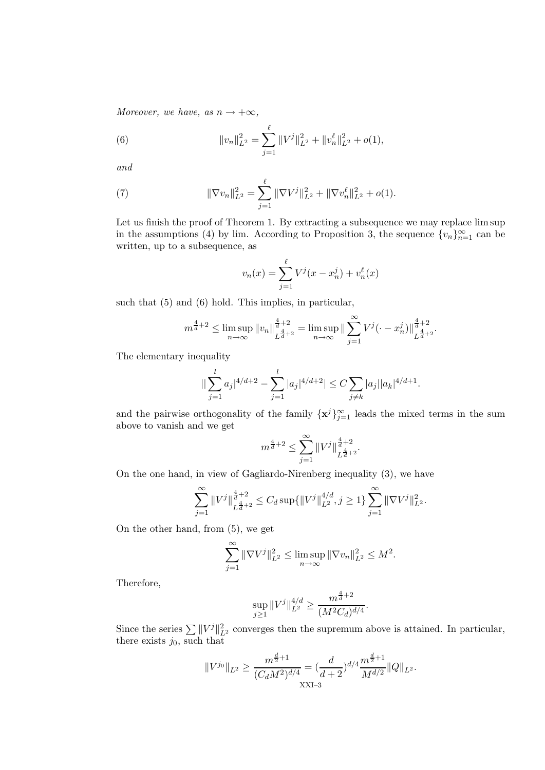Moreover, we have, as  $n \to +\infty$ ,

(6) 
$$
||v_n||_{L^2}^2 = \sum_{j=1}^{\ell} ||V^j||_{L^2}^2 + ||v_n^{\ell}||_{L^2}^2 + o(1),
$$

and

(7) 
$$
\|\nabla v_n\|_{L^2}^2 = \sum_{j=1}^{\ell} \|\nabla V^j\|_{L^2}^2 + \|\nabla v_n^{\ell}\|_{L^2}^2 + o(1).
$$

Let us finish the proof of Theorem 1. By extracting a subsequence we may replace lim sup in the assumptions (4) by lim. According to Proposition 3, the sequence  ${v_n}_{n=1}^{\infty}$  can be written, up to a subsequence, as

$$
v_n(x) = \sum_{j=1}^{\ell} V^j(x - x_n^j) + v_n^{\ell}(x)
$$

such that (5) and (6) hold. This implies, in particular,

$$
m^{\frac{4}{d}+2} \le \limsup_{n \to \infty} ||v_n||_{L^{\frac{4}{d}+2}}^{\frac{4}{d}+2} = \limsup_{n \to \infty} ||\sum_{j=1}^{\infty} V^j(\cdot - x_n^j)||_{L^{\frac{4}{d}+2}}^{\frac{4}{d}+2}.
$$

The elementary inequality

$$
\left| \left| \sum_{j=1}^l a_j \right|^{4/d+2} - \sum_{j=1}^l |a_j|^{4/d+2} \right| \le C \sum_{j \neq k} |a_j| |a_k|^{4/d+1}.
$$

and the pairwise orthogonality of the family  ${x^{j}}_{j=1}^{\infty}$  leads the mixed terms in the sum above to vanish and we get

$$
m^{\frac{4}{d}+2} \le \sum_{j=1}^{\infty} \|V^j\|_{L^{\frac{4}{d}+2}}^{\frac{4}{d}+2}.
$$

On the one hand, in view of Gagliardo-Nirenberg inequality (3), we have

$$
\sum_{j=1}^{\infty} ||V^j||_{L^{\frac{4}{d}+2}}^{\frac{4}{d}+2} \le C_d \sup \{ ||V^j||_{L^2}^{4/d}, j \ge 1 \} \sum_{j=1}^{\infty} ||\nabla V^j||_{L^2}^2.
$$

On the other hand, from (5), we get

$$
\sum_{j=1}^{\infty} \|\nabla V^j\|_{L^2}^2 \le \limsup_{n \to \infty} \|\nabla v_n\|_{L^2}^2 \le M^2.
$$

Therefore,

$$
\sup_{j\geq 1} \|V^j\|_{L^2}^{4/d} \geq \frac{m^{\frac{4}{d}+2}}{(M^2C_d)^{d/4}}.
$$

Since the series  $\sum ||V^j||_{L^2}^2$  converges then the supremum above is attained. In particular, there exists  $j_0$ , such that

$$
||V^{j_0}||_{L^2} \ge \frac{m^{\frac{d}{2}+1}}{(C_dM^2)^{d/4}} = (\frac{d}{d+2})^{d/4} \frac{m^{\frac{d}{2}+1}}{M^{d/2}} ||Q||_{L^2}.
$$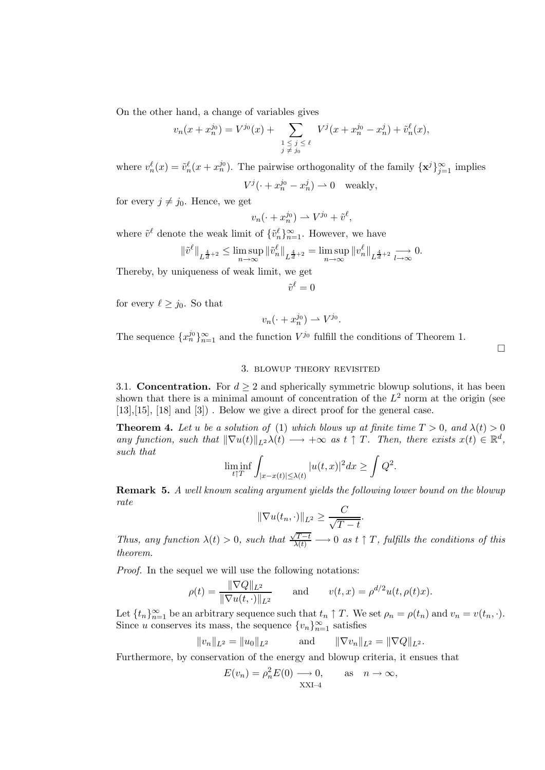On the other hand, a change of variables gives

$$
v_n(x + x_n^{j_0}) = V^{j_0}(x) + \sum_{\substack{1 \le j \le \ell \\ j \ne j_0}} V^j(x + x_n^{j_0} - x_n^j) + \tilde{v}_n^{\ell}(x),
$$

where  $v_n^{\ell}(x) = \tilde{v}_n^{\ell}(x + x_n^{j_0})$ . The pairwise orthogonality of the family  $\{\mathbf{x}^j\}_{j=1}^{\infty}$  implies  $V^j(\cdot + x_n^{j_0} - x_n^j) \rightharpoonup 0$  weakly,

for every  $j \neq j_0$ . Hence, we get

$$
v_n(\cdot + x_n^{j_0}) \rightharpoonup V^{j_0} + \tilde{v}^\ell,
$$

where  $\tilde{v}^{\ell}$  denote the weak limit of  $\{\tilde{v}_{n}^{\ell}\}_{n=1}^{\infty}$ . However, we have

$$
\|\tilde{v}^{\ell}\|_{L^{\frac{4}{d}+2}}\leq \limsup_{n\to\infty}\|\tilde{v}^{\ell}_n\|_{L^{\frac{4}{d}+2}}=\limsup_{n\to\infty}\|v^{\ell}_n\|_{L^{\frac{4}{d}+2}}\underset{l\to\infty}{\longrightarrow}0.
$$

Thereby, by uniqueness of weak limit, we get

$$
\tilde{v}^{\ell}=0
$$

for every  $\ell \geq j_0$ . So that

$$
v_n(\cdot + x_n^{j_0}) \rightharpoonup V^{j_0}
$$

The sequence  $\{x_n^{j_0}\}_{n=1}^{\infty}$  and the function  $V^{j_0}$  fulfill the conditions of Theorem 1.

 $\Box$ 

#### 3. blowup theory revisited

.

3.1. Concentration. For  $d \geq 2$  and spherically symmetric blowup solutions, it has been shown that there is a minimal amount of concentration of the  $L^2$  norm at the origin (see [13],[15], [18] and [3]) . Below we give a direct proof for the general case.

**Theorem 4.** Let u be a solution of (1) which blows up at finite time  $T > 0$ , and  $\lambda(t) > 0$ any function, such that  $\|\nabla u(t)\|_{L^2}\lambda(t) \longrightarrow +\infty$  as  $t \uparrow T$ . Then, there exists  $x(t) \in \mathbb{R}^d$ , such that

$$
\liminf_{t \uparrow T} \int_{|x-x(t)| \le \lambda(t)} |u(t,x)|^2 dx \ge \int Q^2.
$$

Remark 5. A well known scaling argument yields the following lower bound on the blowup rate

$$
\|\nabla u(t_n,\cdot)\|_{L^2} \ge \frac{C}{\sqrt{T-t}}.
$$

Thus, any function  $\lambda(t) > 0$ , such that  $\frac{\sqrt{T-t}}{\lambda(t)} \longrightarrow 0$  as  $t \uparrow T$ , fulfills the conditions of this theorem.

Proof. In the sequel we will use the following notations:

$$
\rho(t) = \frac{\|\nabla Q\|_{L^2}}{\|\nabla u(t, \cdot)\|_{L^2}} \quad \text{and} \quad v(t, x) = \rho^{d/2} u(t, \rho(t)x).
$$

Let  $\{t_n\}_{n=1}^{\infty}$  be an arbitrary sequence such that  $t_n \uparrow T$ . We set  $\rho_n = \rho(t_n)$  and  $v_n = v(t_n, \cdot)$ . Since u conserves its mass, the sequence  ${v_n}_{n=1}^{\infty}$  satisfies

$$
||v_n||_{L^2} = ||u_0||_{L^2}
$$
 and  $||\nabla v_n||_{L^2} = ||\nabla Q||_{L^2}$ .

Furthermore, by conservation of the energy and blowup criteria, it ensues that

$$
E(v_n) = \rho_n^2 E(0) \longrightarrow 0,
$$
 as  $n \to \infty$ ,  
XXI-4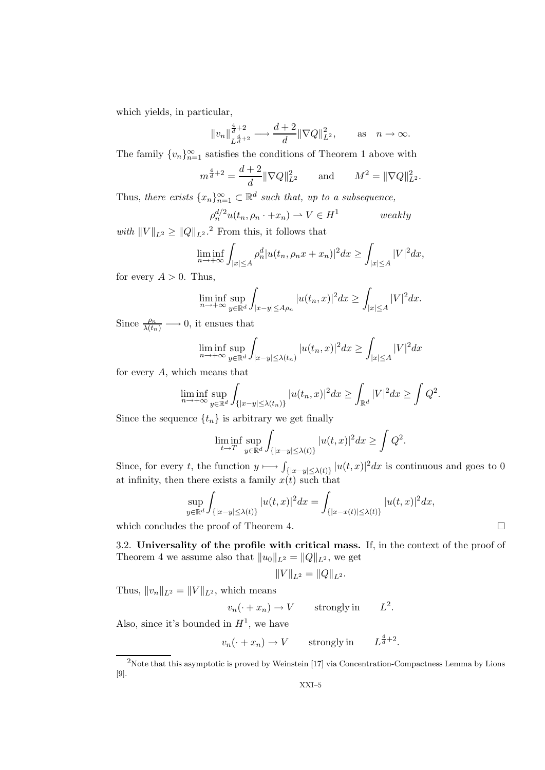which yields, in particular,

$$
||v_n||_{L^{\frac{4}{d}+2}}^{\frac{4}{d}+2} \longrightarrow \frac{d+2}{d} ||\nabla Q||_{L^2}^2
$$
, as  $n \to \infty$ .

The family  ${v_n}_{n=1}^{\infty}$  satisfies the conditions of Theorem 1 above with

$$
m^{\frac{4}{d}+2} = \frac{d+2}{d} \|\nabla Q\|_{L^2}^2
$$
 and  $M^2 = \|\nabla Q\|_{L^2}^2$ .

Thus, there exists  $\{x_n\}_{n=1}^{\infty} \subset \mathbb{R}^d$  such that, up to a subsequence,

$$
\rho_n^{d/2} u(t_n, \rho_n \cdot + x_n) \rightharpoonup V \in H^1 \qquad \text{weakly}
$$

with  $||V||_{L^2} \geq ||Q||_{L^2}$ .<sup>2</sup> From this, it follows that

$$
\liminf_{n \to +\infty} \int_{|x| \le A} \rho_n^d |u(t_n, \rho_n x + x_n)|^2 dx \ge \int_{|x| \le A} |V|^2 dx,
$$

for every  $A > 0$ . Thus,

$$
\liminf_{n \to +\infty} \sup_{y \in \mathbb{R}^d} \int_{|x-y| \le A\rho_n} |u(t_n, x)|^2 dx \ge \int_{|x| \le A} |V|^2 dx.
$$

Since  $\frac{\rho_n}{\lambda(t_n)} \longrightarrow 0$ , it ensues that

$$
\liminf_{n \to +\infty} \sup_{y \in \mathbb{R}^d} \int_{|x-y| \le \lambda(t_n)} |u(t_n, x)|^2 dx \ge \int_{|x| \le A} |V|^2 dx
$$

for every A, which means that

$$
\liminf_{n \to +\infty} \sup_{y \in \mathbb{R}^d} \int_{\{|x-y| \le \lambda(t_n)\}} |u(t_n, x)|^2 dx \ge \int_{\mathbb{R}^d} |V|^2 dx \ge \int Q^2.
$$

Since the sequence  $\{t_n\}$  is arbitrary we get finally

$$
\liminf_{t \to T} \sup_{y \in \mathbb{R}^d} \int_{\{|x-y| \le \lambda(t)\}} |u(t,x)|^2 dx \ge \int Q^2.
$$

Since, for every t, the function  $y \mapsto \int_{\{|x-y| \le \lambda(t)\}} |u(t,x)|^2 dx$  is continuous and goes to 0 at infinity, then there exists a family  $x(t)$  such that

$$
\sup_{y \in \mathbb{R}^d} \int_{\{|x-y| \le \lambda(t)\}} |u(t,x)|^2 dx = \int_{\{|x-x(t)| \le \lambda(t)\}} |u(t,x)|^2 dx,
$$
  
les the proof of Theorem 4

.

which concludes the proof of Theorem 4.

3.2. Universality of the profile with critical mass. If, in the context of the proof of Theorem 4 we assume also that  $||u_0||_{L^2} = ||Q||_{L^2}$ , we get

$$
||V||_{L^2} = ||Q||_{L^2}.
$$

Thus,  $||v_n||_{L^2} = ||V||_{L^2}$ , which means

$$
v_n(\cdot + x_n) \to V
$$
 strongly in  $L^2$ 

Also, since it's bounded in  $H^1$ , we have

$$
v_n(\cdot + x_n) \to V
$$
 strongly in  $L^{\frac{4}{d}+2}$ .

<sup>2</sup>Note that this asymptotic is proved by Weinstein [17] via Concentration-Compactness Lemma by Lions [9].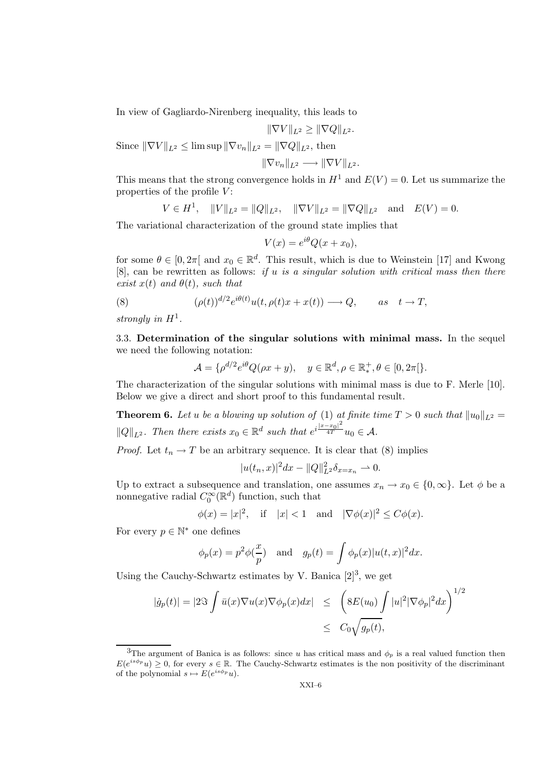In view of Gagliardo-Nirenberg inequality, this leads to

$$
\|\nabla V\|_{L^2}\geq \|\nabla Q\|_{L^2}.
$$

Since  $\|\nabla V\|_{L^2} \le \limsup \| \nabla v_n \|_{L^2} = \| \nabla Q \|_{L^2}$ , then

$$
\|\nabla v_n\|_{L^2}\longrightarrow \|\nabla V\|_{L^2}.
$$

This means that the strong convergence holds in  $H^1$  and  $E(V) = 0$ . Let us summarize the properties of the profile  $V$ :

$$
V \in H^1
$$
,  $||V||_{L^2} = ||Q||_{L^2}$ ,  $||\nabla V||_{L^2} = ||\nabla Q||_{L^2}$  and  $E(V) = 0$ .

The variational characterization of the ground state implies that

$$
V(x) = e^{i\theta} Q(x + x_0),
$$

for some  $\theta \in [0, 2\pi]$  and  $x_0 \in \mathbb{R}^d$ . This result, which is due to Weinstein [17] and Kwong  $[8]$ , can be rewritten as follows: if u is a singular solution with critical mass then there exist  $x(t)$  and  $\theta(t)$ , such that

(8) 
$$
(\rho(t))^{d/2} e^{i\theta(t)} u(t, \rho(t)x + x(t)) \longrightarrow Q, \quad as \quad t \to T,
$$

strongly in  $H^1$ .

3.3. Determination of the singular solutions with minimal mass. In the sequel we need the following notation:

$$
\mathcal{A} = \{ \rho^{d/2} e^{i\theta} Q(\rho x + y), \quad y \in \mathbb{R}^d, \rho \in \mathbb{R}_*^+, \theta \in [0, 2\pi] \}.
$$

The characterization of the singular solutions with minimal mass is due to F. Merle [10]. Below we give a direct and short proof to this fundamental result.

**Theorem 6.** Let u be a blowing up solution of (1) at finite time  $T > 0$  such that  $||u_0||_{L^2} =$  $||Q||_{L^2}$ . Then there exists  $x_0 \in \mathbb{R}^d$  such that  $e^{i\frac{|x-x_0|^2}{4T}}u_0 \in \mathcal{A}$ .

*Proof.* Let  $t_n \to T$  be an arbitrary sequence. It is clear that (8) implies

$$
|u(t_n,x)|^2 dx - ||Q||_{L^2}^2 \delta_{x=x_n} \rightharpoonup 0.
$$

Up to extract a subsequence and translation, one assumes  $x_n \to x_0 \in \{0, \infty\}$ . Let  $\phi$  be a nonnegative radial  $C_0^{\infty}(\mathbb{R}^d)$  function, such that

$$
\phi(x) = |x|^2, \quad \text{if} \quad |x| < 1 \quad \text{and} \quad |\nabla \phi(x)|^2 \le C\phi(x).
$$

For every  $p \in \mathbb{N}^*$  one defines

$$
\phi_p(x) = p^2 \phi(\frac{x}{p})
$$
 and  $g_p(t) = \int \phi_p(x) |u(t,x)|^2 dx$ .

Using the Cauchy-Schwartz estimates by V. Banica  $[2]^3$ , we get

$$
|\dot{g}_p(t)| = |2\Im \int \bar{u}(x)\nabla u(x)\nabla \phi_p(x)dx| \leq \left(8E(u_0) \int |u|^2 |\nabla \phi_p|^2 dx\right)^{1/2}
$$
  

$$
\leq C_0 \sqrt{g_p(t)},
$$

<sup>&</sup>lt;sup>3</sup>The argument of Banica is as follows: since u has critical mass and  $\phi_p$  is a real valued function then  $E(e^{is\phi_p}u) \geq 0$ , for every  $s \in \mathbb{R}$ . The Cauchy-Schwartz estimates is the non positivity of the discriminant of the polynomial  $s \mapsto E(e^{is\phi_p}u)$ .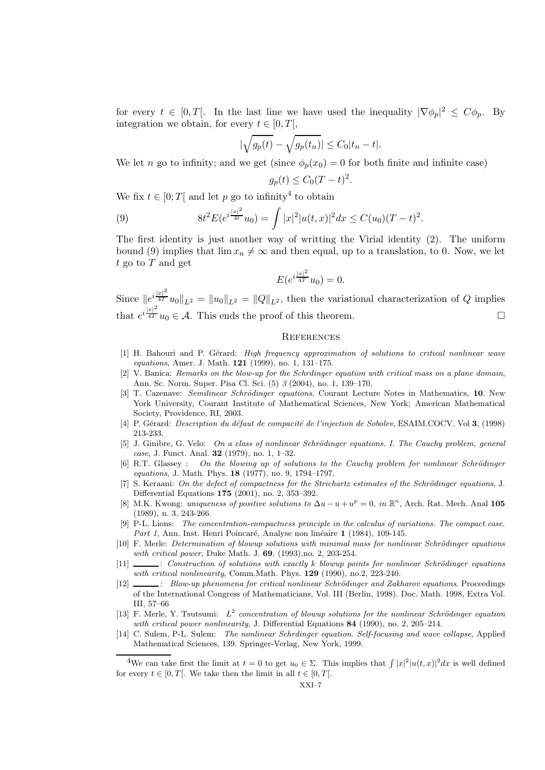for every  $t \in [0,T[$ . In the last line we have used the inequality  $|\nabla \phi_p|^2 \leq C \phi_p$ . By integration we obtain, for every  $t \in [0, T]$ ,

$$
\left|\sqrt{g_p(t)} - \sqrt{g_p(t_n)}\right| \le C_0|t_n - t|.
$$

We let n go to infinity; and we get (since  $\phi_p(x_0) = 0$  for both finite and infinite case)

$$
g_p(t) \le C_0 (T - t)^2.
$$

We fix  $t \in [0; T[$  and let p go to infinity<sup>4</sup> to obtain

(9) 
$$
8t^2 E(e^{i\frac{|x|^2}{4t}}u_0) = \int |x|^2 |u(t,x)|^2 dx \leq C(u_0)(T-t)^2.
$$

The first identity is just another way of writting the Virial identity (2). The uniform bound (9) implies that  $\lim x_n \neq \infty$  and then equal, up to a translation, to 0. Now, we let  $t$  go to  $T$  and get

$$
E(e^{i\frac{|x|^2}{4T}}u_0) = 0.
$$

Since  $||e^{i\frac{|x|^2}{4T}}u_0||_{L^2} = ||u_0||_{L^2} = ||Q||_{L^2}$ , then the variational characterization of Q implies that  $e^{i\frac{|x|^2}{4T}}u_0 \in \mathcal{A}$ . This ends the proof of this theorem.

#### **REFERENCES**

- [1] H. Bahouri and P. Gérard: High frequency approximation of solutions to critical nonlinear wave *equations*, Amer. J. Math.  $121$  (1999), no. 1, 131–175.
- [2] V. Banica: Remarks on the blow-up for the Schrdinger equation with critical mass on a plane domain, Ann. Sc. Norm. Super. Pisa Cl. Sci. (5) 3 (2004), no. 1, 139–170.
- [3] T. Cazenave: Semilinear Schrödinger equations, Courant Lecture Notes in Mathematics, 10. New York University, Courant Institute of Mathematical Sciences, New York; American Mathematical Society, Providence, RI, 2003.
- [4] P. Gérard: *Description du défaut de compacité de l'injection de Sobolev*, ESAIM.COCV, Vol 3, (1998) 213-233.
- [5] J. Ginibre, G. Velo: On a class of nonlinear Schrödinger equations. I. The Cauchy problem, general case, J. Funct. Anal. 32 (1979), no. 1, 1–32.
- $[6]$  R.T. Glassey : On the blowing up of solutions to the Cauchy problem for nonlinear Schrödinger equations, J. Math. Phys. 18 (1977), no. 9, 1794–1797.
- [7] S. Keraani: On the defect of compactness for the Strichartz estimates of the Schrödinger equations, J. Differential Equations 175 (2001), no. 2, 353–392.
- [8] M.K. Kwong: uniqueness of positive solutions to  $\Delta u u + u^p = 0$ , in  $\mathbb{R}^n$ , Arch. Rat. Mech. Anal 105 (1989), n. 3, 243-266.
- [9] P-L. Lions: The concentration-compactness principle in the calculus of variations. The compact case. Part 1, Ann. Inst. Henri Poincaré, Analyse non linéaire 1 (1984), 109-145.
- [10] F. Merle: *Determination of blowup solutions with minimal mass for nonlinear Schrödinger equations* with critical power, Duke Math. J. 69, (1993), no. 2, 203-254.
- $[11]$   $\quad \qquad$ : Construction of solutions with exactly k blowup points for nonlinear Schrödinger equations with critical nonlinearity, Comm.Math. Phys. 129 (1990), no.2, 223-240.
- [12]  $\_\_\_\_\_\_\_\_\_\_\_\_\_\_\_\_\_\_\_\_\_\_\_\_\_\_\_\_\_\.\_ By the no mean of the critical nonlinear Schrödinger and Zakharov equations. Proceedings$ of the International Congress of Mathematicians, Vol. III (Berlin, 1998). Doc. Math. 1998, Extra Vol. III, 57–66
- [13] F. Merle, Y. Tsutsumi:  $L^2$  concentration of blowup solutions for the nonlinear Schrödinger equation with critical power nonlinearity, J. Differential Equations 84 (1990), no. 2, 205–214.
- [14] C. Sulem, P-L. Sulem: The nonlinear Schrdinger equation. Self-focusing and wave collapse, Applied Mathematical Sciences, 139. Springer-Verlag, New York, 1999.

<sup>&</sup>lt;sup>4</sup>We can take first the limit at  $t = 0$  to get  $u_0 \in \Sigma$ . This implies that  $\int |x|^2 |u(t,x)|^2 dx$  is well defined for every  $t \in [0, T]$ . We take then the limit in all  $t \in [0, T]$ .